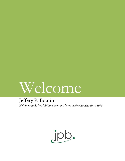# Welcome

# Jeffery P. Boutin

*Helping people live fulfilling lives and leave lasting legacies since 1998*

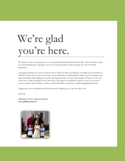# We're glad you're here.

We thank you for your interest in us as your financial planning and investment firm. We're excited to help you find financial peace and guide you in your financial journey while advising you with a Christian perspective.

I recognize placing your trust in someone else to help you with your finances or handle your investments is difficult. I want you to know that, in turn, I am committed to maintaining the highest level of integrity and professionalism while helping you reach your financial goals. As your needs change, I'll be here every step of the way to help your plans evolve with them. I'll contact you regularly to check in, but if you need to reach me, please don't hesitate to call me at 603-494-9440 or email me at jeffboutin@jpbfinancial.net.

I appreciate your consideration and look forward to helping you in any way that I can.

Sincerely,

Jeff Boutin, Owner, Financial Advisor **www.jpbfinancial.net**

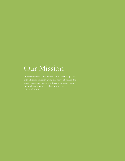# Our Mission

Our mission is to guide every client to financial peace client's goals and values. Our focus is on using sound financial strategies with skill, care and clear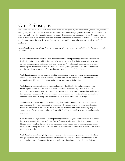# Our Philosophy

We believe financial peace and well-being is achievable for everyone, regardless of income, with a little guidance and a great plan. First of all, we believe that we should have an eternal perspective. When we know that God is the owner and we are the stewards, we can put today's decisions into the right perspective. We believe in the need to make faith-based financial decisions. When we can say with confidence, "I believe God would have me to…" regarding our financial decisions, then we can be financially content because we are following God's guidance.

As you handle each stage of your financial journey, we will be there to help—upholding the following principles and philosophy:

We **operate consistently out of a few transcendent financial planning principles**. There are six key biblical principles: spend less than you make, avoid excessive debt, build margin, give generously, set long-term goals, and understand that God owns it all. We feel strongly about each area of your financial plan, because we believe that personal financial planning should always be comprehensive, and that excellence in one area of personal finance is dependent on all the others.

We believe **investing** should focus on reaching goals, not on returns for returns sake. Investments are a tool one uses to accomplish financial objectives and are not an end in and of themselves. One accumulates wealth by spending less than he earns over a long period of time.

We believe that **tax** minimization is essential, but that it shouldn't be the highest priority—your financial goals should be. Tax evasion is illegal and should be avoided by a wide margin. In scripture, taxes are commanded to be paid. They should never be a source of cash-flow problems as they can always be adequately planned for. Tax planning should never be the ultimate driving force in financial decisions. In many ways income taxes are an indicator of God's blessings.

We believe that **borrowing** is not a sin but it may deny God an opportunity to work and always presumes upon the future. Consumptive borrowing will sentence one to a reduced lifestyle in the future and will limit current financial flexibility and future financial freedom. Borrowing may be symptomatic of spiritual issues. A husband and wife should be in complete harmony with borrowing decisions.

We believe that the highest aim of **estate planning** is to leave a legacy, and tax minimization should be a secondary goal. Wealth transfer is different from estate planning in that it begins during one's lifetime and it considers the impact on the beneficiary as its primary objective. A beneficiary should never be surprised by the decisions of the steward. It is the last stewardship decision that God allows the steward to make.

We believe that **charitable giving** improves quality of life and planning for everyone involved and that giving should be a goal in some form for everyone with wealth. Giving is commanded in the scriptures both for the benefit of the recipient and for the benefit of the giver. Increased giving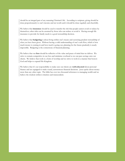should be an integral part of any maturing Christian's life. According to scripture, giving should be done proportionately to one's income and net worth and it should be done regularly and cheerfully.

We believe that **insurance** should be used to transfer the risk that people cannot avoid or reduce by themselves; other risks can be assumed by those who can reduce or avoid it. Having enough life insurance to provide for family needs is a good stewardship decision.

We believe that **budgeting** is about living within one's means and exercising prudent stewardship of what you have been given. Without having a solid understanding of one's cash flow, which is how much money is coming in and how much is going out, planning for the future prudently is nearly impossible. Budgeting is the cornerstone of financial planning.

We believe that our **fees** should be reflective of the value and peace of mind that we deliver. We strive to remain competitive in our fees and minimize overhead so we can pass savings onto our clients. We believe that work is a form of worship and we strive to work in a manner that honors God and helps to expand His Kingdom.

We believe that it's our responsibility to make sure our clients are **well-educated** about personal finance and are equipped to make sound, autonomous financial decisions. Jesus spoke about money more than any other topic. The bible has over two thousand references to managing wealth and we believe the wisdom within is timeless and transcendent.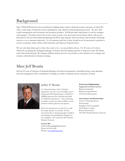# Background

Since 1998 Jeff Boutin has been committed to helping clients achieve financial security and peace of mind. We offer a wide range of financial services including fee-only objective financial planning services. We also offer wealth management and investment and insurance products. Jeff Boutin has a deep desire to run his company with integrity. He believes that if his work is done in such a way that honors God, clients will be well served. Jeff believes that fee-based financial planning should be kept separate from investment and insurance brokerage services so as to maintain objectivity. It is his primary goal that a client should never be pressured to purchase a service or product, rather obtain useful education and objective financial advice.

We not only help clients get to where they want to be—we are problem-solvers. For 20 years, we've been effectively navigating the changing landscape of finance and developing expertise to help more than 300 clients reach their financial goals. We integrate biblical wisdom into the conversation as this wisdom never changes and remains solid bedrock for decision-making.

# Meet Jeff Boutin

Jeff has 20 years of expertise in financial planning, investment management, charitable giving, estate planning and risk management. Jeff is committed to helping you achieve financial success and peace of mind.



## Jeffery P. Boutin

As a financial advisor with a Christian perspective, my job is very rewarding: I get to help people find financial peace of mind, live fulfilling, generous lives and plan their path for financial contentment. I enjoy educating my clients so they can make confident sound decisions without pressure, but passion.

Jeff is the same person at work as he is with his family, friends or at church. He has devoted his life to educating people in biblical stewardship and expanding the Kingdom in the workplace. He created the NH Christian Business Network.

**Contact Me:**  Email: jeffboutin@jpbfinancial.net Phone: 603-494-9440 Website: [www.jpbfinancial.net](http://www.jpbfinancial.net/)

### **Professional Registrations**

Registered investment advisor Registered principal Registered representative General producing agent

#### **Associations and Memberships**

Society of Financial Service Professionals Kingdom Advisors graduate David Ramsey trainer Rotary International The NH Christian Business Network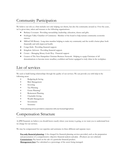# Community Participation

We believe our role as a firm includes not only helping our clients, but also the community around us. Over the years, we've given time, talent and treasure to the following organizations:

- Bethany Covenant: Providing stewardship, leadership, education, classes and gifts.
- Souhegan Valley Chamber of Commerce: Member of the board to help nurture community economic success.
- Milford NH Rotary: Long-time member helping to make my community and the world a better place both financially and with improved health.
- Congo Kids: Providing financial support.
- Kingdom Advisors: Providing financial support.
- Crown Managing Money Gods Way: Financial support
- Creator of The New Hampshire Christian Business Network: Helping to equip Christians of all denominations to become more steadfast, confident and better equipped to truly shine in the workplace.

# List of services

We seek to build lasting relationships through the quality of our services. We can provide you with help in the following areas:

- Budgeting & Saving
- Risk Management
- **Investing**
- Tax Planning
- Estate Planning\*
- Retirement Planning
- Charitable Giving
- Wealth Management
- **Investments**
- **Insurance**

\*Estate planning services provided in conjunction with your licensed legal advisor.

# Compensation Structure

At JPB Financial, we believe you should know exactly where your money is going, so we want you to understand how we charge for our services.

We may be compensated for our expertise and assistance in three different and separate ways:

**Fee-only financial planning:** A fee charged for financial planning services provided, such as the preparation and presentation of a comprehensive objective financial analysis and plan. (Products are not solicited) **Commissions:** Pay based on the sale of a particular financial product.

**Management fees:** Fee calculated as a percentage of the assets being managed.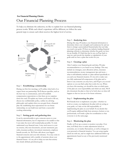# Our Financial Planning Process **For Financial Planning Clients:**

To help you eliminate the unknown, we like to explain how our financial planning process works. While each client's experience will be different, we follow the same general steps to ensure each client receives the highest level of service.



### Step 1 - **Establishing a relationship**

During our first few meetings, we'll outline what both of us expect from our partnership. We'll discuss specifics, such as the best way to communicate, and we'll establish compensation expectations so that there are no surprises down the road. I'll explain any forms you'll need to fill out, discuss my confidentiality policy, outline my advising philosophy and explain what you can gain from a financial plan. By establishing clear expectations for our future relationship, we can build trust and form a successful working relationship.

#### Step 2 - **Setting goals and gathering data**

It can be uncomfortable to give someone access to your financial information, but it's important to be candid so that I can make the most well-rounded plan possible. To truly understand your financial state, I may need access to your tax returns, will, trust documents, account statements, pay stubs, insurance policies, investment statements, employee benefit records, etc. We'll also talk about your biggest financial concerns and your risk tolerance. You may come in to the appointment with a jumble of anxieties about your financial future—it's my job to help you turn that anxiety into clearly defined, prioritized goals.

#### Step 3 - **Analyzing data**

During this step, I'll analyze your financial information to determine where your strengths and weaknesses lie and use them to design a personalized financial plan that can help you reach your goals. I'll then use industry-leading financial planning software to determine whether the goals you have set are feasible. If I find that they're not, we'll go back to step two and rework the timeline or stipulations of your goals until we have a plan that works for you.

#### Step 4 - **Creating a plan**

After I analyze your financial goals and data, I'll make recommendations to you based on my findings. This may include tax strategies, asset allocation advice, insurance recommendations, money management tips and more what it will definitely include is a plan tailored specifically to you and your financial situation. It's my job to make sure you fully understand all components of the plan and to listen to any concerns you may have, and I'll give you several options so you can find a plan that works for you. When you leave this meeting, you should be clear on which parts of the plan are your responsibility and which are mine. We'll also document the plan so that we're both clear on what will happen so that we can use it for future reference.

#### Step 5 - **Implementing the plan**

We'll decide how to implement your plan—whether we work as a team, you implement the plan with me acting as your guide, or I take on the full responsibility of implementing the plan on your behalf. If you decide that you'll require additional help from attorneys, brokers or tax professionals, we'll make a plan for coordination so that everyone is on the same page.

#### Step 6 - **Monitoring the plan**

Finally, we'll set up a system to monitor your plan. Over time, we'll likely have to make adjustments based on economic, tax or market fluctuations, as well as changes in your personal or financial situation. You can setup regular check-ins with me, and we might have additional follow-up appointments based on any of the previously mentioned changes.